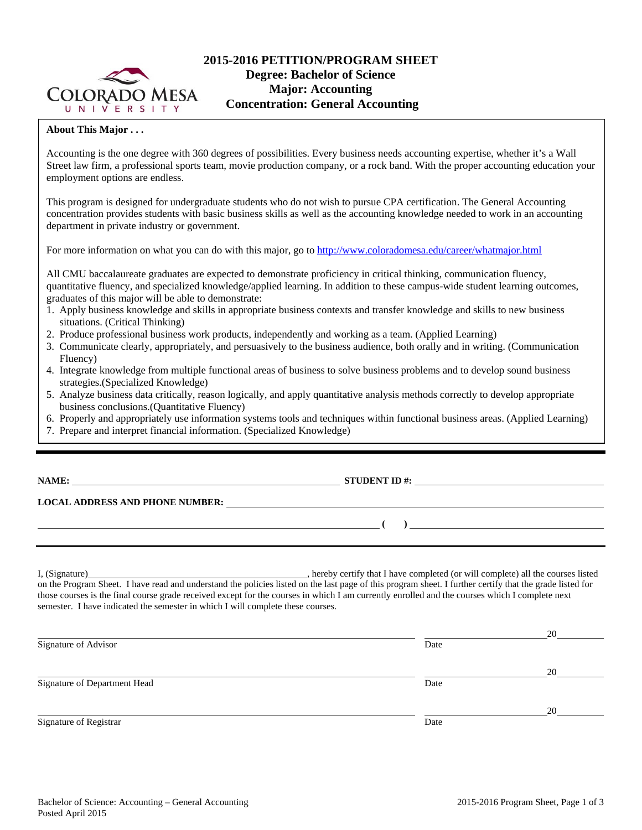

# **2015-2016 PETITION/PROGRAM SHEET Degree: Bachelor of Science Major: Accounting Concentration: General Accounting**

## **About This Major . . .**

Accounting is the one degree with 360 degrees of possibilities. Every business needs accounting expertise, whether it's a Wall Street law firm, a professional sports team, movie production company, or a rock band. With the proper accounting education your employment options are endless.

This program is designed for undergraduate students who do not wish to pursue CPA certification. The General Accounting concentration provides students with basic business skills as well as the accounting knowledge needed to work in an accounting department in private industry or government.

For more information on what you can do with this major, go to http://www.coloradomesa.edu/career/whatmajor.html

All CMU baccalaureate graduates are expected to demonstrate proficiency in critical thinking, communication fluency, quantitative fluency, and specialized knowledge/applied learning. In addition to these campus-wide student learning outcomes, graduates of this major will be able to demonstrate:

- 1. Apply business knowledge and skills in appropriate business contexts and transfer knowledge and skills to new business situations. (Critical Thinking)
- 2. Produce professional business work products, independently and working as a team. (Applied Learning)
- 3. Communicate clearly, appropriately, and persuasively to the business audience, both orally and in writing. (Communication Fluency)
- 4. Integrate knowledge from multiple functional areas of business to solve business problems and to develop sound business strategies.(Specialized Knowledge)
- 5. Analyze business data critically, reason logically, and apply quantitative analysis methods correctly to develop appropriate business conclusions.(Quantitative Fluency)
- 6. Properly and appropriately use information systems tools and techniques within functional business areas. (Applied Learning)
- 7. Prepare and interpret financial information. (Specialized Knowledge)

## **NAMES IN STUDENT ID #:**  $\frac{1}{2}$  **STUDENT ID #:**  $\frac{1}{2}$  **NAMES IN STUDENT ID #:**

 **(** ) <u> **(** ) **b** ( ) **i** ( **) i** ( **) i** ( **) i** ( **) i** ( **) i** ( **) i** ( **) i** ( **) i** ( **) i** ( **) i** ( **) i** ( **) i** ( **) i** ( **) i** ( **) i** ( **) i** ( **) i** ( **) i** ( **) i** ( **)</u>** 

**LOCAL ADDRESS AND PHONE NUMBER:**

I, (Signature) , hereby certify that I have completed (or will complete) all the courses listed on the Program Sheet. I have read and understand the policies listed on the last page of this program sheet. I further certify that the grade listed for those courses is the final course grade received except for the courses in which I am currently enrolled and the courses which I complete next semester. I have indicated the semester in which I will complete these courses.

|                              |      | 20 |
|------------------------------|------|----|
| Signature of Advisor         | Date |    |
|                              |      | 20 |
| Signature of Department Head | Date |    |
|                              |      | 20 |
| Signature of Registrar       | Date |    |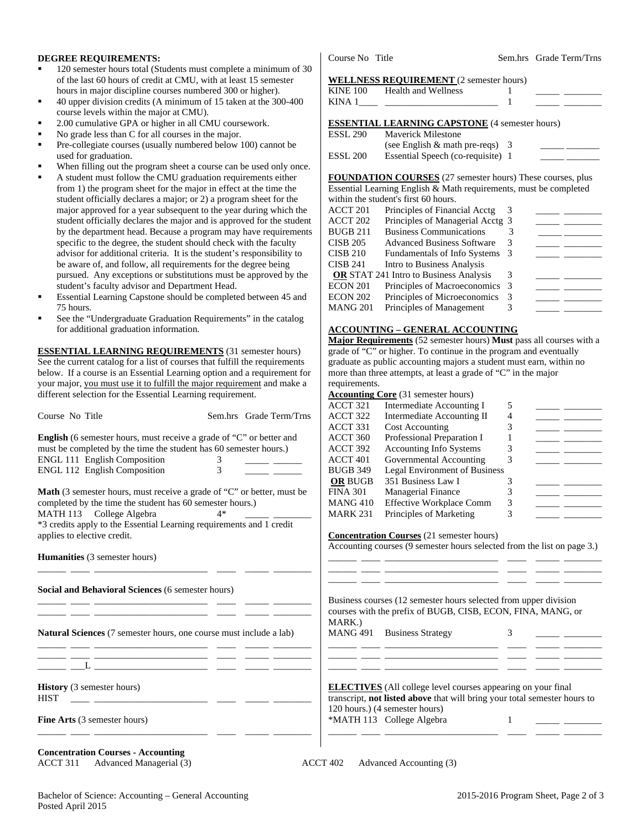#### **DEGREE REQUIREMENTS:**

- 120 semester hours total (Students must complete a minimum of 30 of the last 60 hours of credit at CMU, with at least 15 semester hours in major discipline courses numbered 300 or higher).
- 40 upper division credits (A minimum of 15 taken at the 300-400 course levels within the major at CMU).
- 2.00 cumulative GPA or higher in all CMU coursework.
- No grade less than C for all courses in the major.
- Pre-collegiate courses (usually numbered below 100) cannot be used for graduation.
- When filling out the program sheet a course can be used only once.
- A student must follow the CMU graduation requirements either from 1) the program sheet for the major in effect at the time the student officially declares a major; or 2) a program sheet for the major approved for a year subsequent to the year during which the student officially declares the major and is approved for the student by the department head. Because a program may have requirements specific to the degree, the student should check with the faculty advisor for additional criteria. It is the student's responsibility to be aware of, and follow, all requirements for the degree being pursued. Any exceptions or substitutions must be approved by the student's faculty advisor and Department Head.
- Essential Learning Capstone should be completed between 45 and 75 hours.
- See the "Undergraduate Graduation Requirements" in the catalog for additional graduation information.

**ESSENTIAL LEARNING REQUIREMENTS** (31 semester hours) See the current catalog for a list of courses that fulfill the requirements below. If a course is an Essential Learning option and a requirement for your major, you must use it to fulfill the major requirement and make a different selection for the Essential Learning requirement.

Course No Title Sem.hrs Grade Term/Trns

| Course No Title                                                             | Sem.nrs Grade Term/Trns | $\mathbf{A}$ |
|-----------------------------------------------------------------------------|-------------------------|--------------|
|                                                                             |                         | A            |
| <b>English</b> (6 semester hours, must receive a grade of "C" or better and |                         | A            |
| must be completed by the time the student has 60 semester hours.)           |                         | A            |
| <b>ENGL 111 English Composition</b>                                         |                         | A            |
| <b>ENGL 112 English Composition</b>                                         |                         | B.           |
|                                                                             |                         |              |
| Moth $(2$ comester hours, must resolve a quade of $(0)$ or hotton must be   |                         |              |

**Math** (3 semester hours, must receive a grade of "C" or better, must be completed by the time the student has 60 semester hours.) MATH 113 College Algebra 4\* \*3 credits apply to the Essential Learning requirements and 1 credit applies to elective credit.

\_\_\_\_\_\_ \_\_\_\_ \_\_\_\_\_\_\_\_\_\_\_\_\_\_\_\_\_\_\_\_\_\_\_\_ \_\_\_\_ \_\_\_\_\_ \_\_\_\_\_\_\_\_

\_\_\_\_\_\_ \_\_\_\_ \_\_\_\_\_\_\_\_\_\_\_\_\_\_\_\_\_\_\_\_\_\_\_\_ \_\_\_\_ \_\_\_\_\_ \_\_\_\_\_\_\_\_ \_\_\_\_\_\_ \_\_\_\_ \_\_\_\_\_\_\_\_\_\_\_\_\_\_\_\_\_\_\_\_\_\_\_\_ \_\_\_\_ \_\_\_\_\_ \_\_\_\_\_\_\_\_

\_\_\_\_\_\_ \_\_\_\_ \_\_\_\_\_\_\_\_\_\_\_\_\_\_\_\_\_\_\_\_\_\_\_\_ \_\_\_\_ \_\_\_\_\_ \_\_\_\_\_\_\_\_ \_\_\_\_\_\_ \_\_\_\_ \_\_\_\_\_\_\_\_\_\_\_\_\_\_\_\_\_\_\_\_\_\_\_\_ \_\_\_\_ \_\_\_\_\_ \_\_\_\_\_\_\_\_

\_\_\_\_\_\_ \_\_\_\_ \_\_\_\_\_\_\_\_\_\_\_\_\_\_\_\_\_\_\_\_\_\_\_\_ \_\_\_\_ \_\_\_\_\_ \_\_\_\_\_\_\_\_

**Humanities** (3 semester hours)

**Social and Behavioral Sciences** (6 semester hours)

**Natural Sciences** (7 semester hours, one course must include a lab)

 $\_\_$   $\_\_$ 

**History** (3 semester hours)  $HIST \quad \_\_\_\_\_\_\_$ 

**Fine Arts** (3 semester hours)

**Concentration Courses - Accounting** 

ACCT 311 Advanced Managerial (3) ACCT 402 Advanced Accounting (3)

\_\_\_\_\_\_ \_\_\_\_ \_\_\_\_\_\_\_\_\_\_\_\_\_\_\_\_\_\_\_\_\_\_\_\_ \_\_\_\_ \_\_\_\_\_ \_\_\_\_\_\_\_\_

Course No Title Sem.hrs Grade Term/Trns

#### **WELLNESS REQUIREMENT** (2 semester hours)

| <b>KINE 100</b> | Health and Wellness                                   |  |  |
|-----------------|-------------------------------------------------------|--|--|
|                 |                                                       |  |  |
|                 |                                                       |  |  |
|                 | <b>ESSENTIAL LEARNING CAPSTONE</b> (4 semester hours) |  |  |
|                 | <b>ESSL 290</b> Maverick Milestone                    |  |  |

| LUUL 470 | <u><i>IVIUVULIUR IVIIIUSUUIIU</i></u> |  |  |
|----------|---------------------------------------|--|--|
|          | (see English $\&$ math pre-reqs) 3    |  |  |
| ESSL 200 | Essential Speech (co-requisite) 1     |  |  |

**FOUNDATION COURSES** (27 semester hours) These courses, plus Essential Learning English & Math requirements, must be completed within the student's first 60 hours.

|                 | within the staticity mst of notic.            |     |  |
|-----------------|-----------------------------------------------|-----|--|
| ACCT 201        | Principles of Financial Acctg                 |     |  |
| ACCT 202        | Principles of Managerial Acctg 3              |     |  |
| <b>BUGB 211</b> | <b>Business Communications</b>                |     |  |
| <b>CISB 205</b> | <b>Advanced Business Software</b>             |     |  |
| <b>CISB 210</b> | <b>Fundamentals of Info Systems</b>           | - 3 |  |
| <b>CISB 241</b> | Intro to Business Analysis                    |     |  |
|                 | <b>OR</b> STAT 241 Intro to Business Analysis |     |  |
| ECON 201        | Principles of Macroeconomics 3                |     |  |
| ECON 202        | Principles of Microeconomics                  |     |  |
| MANG 201        | Principles of Management                      |     |  |
|                 |                                               |     |  |

### **ACCOUNTING – GENERAL ACCOUNTING**

**Major Requirements** (52 semester hours) **Must** pass all courses with a grade of "C" or higher. To continue in the program and eventually graduate as public accounting majors a student must earn, within no more than three attempts, at least a grade of "C" in the major requirements.

#### **Accounting Core** (31 semester hours)

|                     | $\frac{1}{2}$                        |   |  |
|---------------------|--------------------------------------|---|--|
| ACCT 321            | Intermediate Accounting I            | 5 |  |
| ACCT 322            | Intermediate Accounting II           |   |  |
| ACCT 331            | <b>Cost Accounting</b>               |   |  |
| ACCT 360            | Professional Preparation I           |   |  |
| ACCT 392            | <b>Accounting Info Systems</b>       |   |  |
| ACCT <sub>401</sub> | Governmental Accounting              |   |  |
| <b>BUGB 349</b>     | <b>Legal Environment of Business</b> |   |  |
| <b>OR BUGB</b>      | 351 Business Law I                   |   |  |
| <b>FINA 301</b>     | <b>Managerial Finance</b>            |   |  |
| <b>MANG 410</b>     | <b>Effective Workplace Comm</b>      | 3 |  |
| <b>MARK 231</b>     | Principles of Marketing              |   |  |

#### **Concentration Courses** (21 semester hours)

Accounting courses (9 semester hours selected from the list on page 3.)

\_\_\_\_\_\_ \_\_\_\_ \_\_\_\_\_\_\_\_\_\_\_\_\_\_\_\_\_\_\_\_\_\_\_\_ \_\_\_\_ \_\_\_\_\_ \_\_\_\_\_\_\_\_ \_\_\_\_\_\_ \_\_\_\_ \_\_\_\_\_\_\_\_\_\_\_\_\_\_\_\_\_\_\_\_\_\_\_\_ \_\_\_\_ \_\_\_\_\_ \_\_\_\_\_\_\_\_ \_\_\_\_\_\_ \_\_\_\_ \_\_\_\_\_\_\_\_\_\_\_\_\_\_\_\_\_\_\_\_\_\_\_\_ \_\_\_\_ \_\_\_\_\_ \_\_\_\_\_\_\_\_

Business courses (12 semester hours selected from upper division courses with the prefix of BUGB, CISB, ECON, FINA, MANG, or MARK.)

\_\_\_\_\_\_ \_\_\_\_ \_\_\_\_\_\_\_\_\_\_\_\_\_\_\_\_\_\_\_\_\_\_\_\_ \_\_\_\_ \_\_\_\_\_ \_\_\_\_\_\_\_\_ \_\_\_\_\_\_ \_\_\_\_ \_\_\_\_\_\_\_\_\_\_\_\_\_\_\_\_\_\_\_\_\_\_\_\_ \_\_\_\_ \_\_\_\_\_ \_\_\_\_\_\_\_\_ \_\_\_\_\_\_ \_\_\_\_ \_\_\_\_\_\_\_\_\_\_\_\_\_\_\_\_\_\_\_\_\_\_\_\_ \_\_\_\_ \_\_\_\_\_ \_\_\_\_\_\_\_\_

MANG 491 Business Strategy 3

**ELECTIVES** (All college level courses appearing on your final transcript, **not listed above** that will bring your total semester hours to 120 hours.) (4 semester hours) \*MATH 113 College Algebra 1 \_\_\_\_\_ \_\_\_\_\_\_\_\_

Bachelor of Science: Accounting – General Accounting 2015-2016 Program Sheet, Page 2 of 3 Posted April 2015